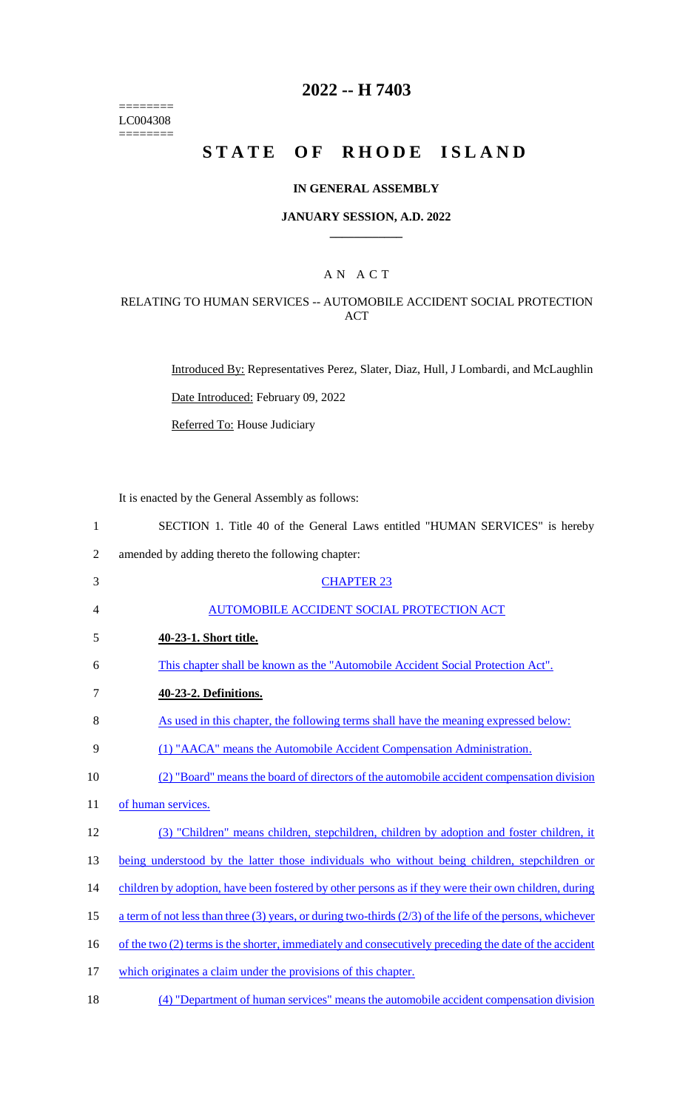======== LC004308  $=$ 

# **2022 -- H 7403**

# **STATE OF RHODE ISLAND**

## **IN GENERAL ASSEMBLY**

#### **JANUARY SESSION, A.D. 2022 \_\_\_\_\_\_\_\_\_\_\_\_**

## A N A C T

#### RELATING TO HUMAN SERVICES -- AUTOMOBILE ACCIDENT SOCIAL PROTECTION ACT

Introduced By: Representatives Perez, Slater, Diaz, Hull, J Lombardi, and McLaughlin

Date Introduced: February 09, 2022

Referred To: House Judiciary

It is enacted by the General Assembly as follows:

| $\mathbf{1}$   | SECTION 1. Title 40 of the General Laws entitled "HUMAN SERVICES" is hereby                                 |
|----------------|-------------------------------------------------------------------------------------------------------------|
| $\overline{2}$ | amended by adding thereto the following chapter:                                                            |
| 3              | <b>CHAPTER 23</b>                                                                                           |
| 4              | <b>AUTOMOBILE ACCIDENT SOCIAL PROTECTION ACT</b>                                                            |
| 5              | 40-23-1. Short title.                                                                                       |
| 6              | This chapter shall be known as the "Automobile Accident Social Protection Act".                             |
| $\tau$         | 40-23-2. Definitions.                                                                                       |
| 8              | As used in this chapter, the following terms shall have the meaning expressed below:                        |
| 9              | (1) "AACA" means the Automobile Accident Compensation Administration.                                       |
| 10             | (2) "Board" means the board of directors of the automobile accident compensation division                   |
| 11             | of human services.                                                                                          |
| 12             | (3) "Children" means children, stepchildren, children by adoption and foster children, it                   |
| 13             | being understood by the latter those individuals who without being children, stepchildren or                |
| 14             | children by adoption, have been fostered by other persons as if they were their own children, during        |
| 15             | a term of not less than three (3) years, or during two-thirds $(2/3)$ of the life of the persons, whichever |
| 16             | of the two (2) terms is the shorter, immediately and consecutively preceding the date of the accident       |
| 17             | which originates a claim under the provisions of this chapter.                                              |
| 18             | (4) "Department of human services" means the automobile accident compensation division                      |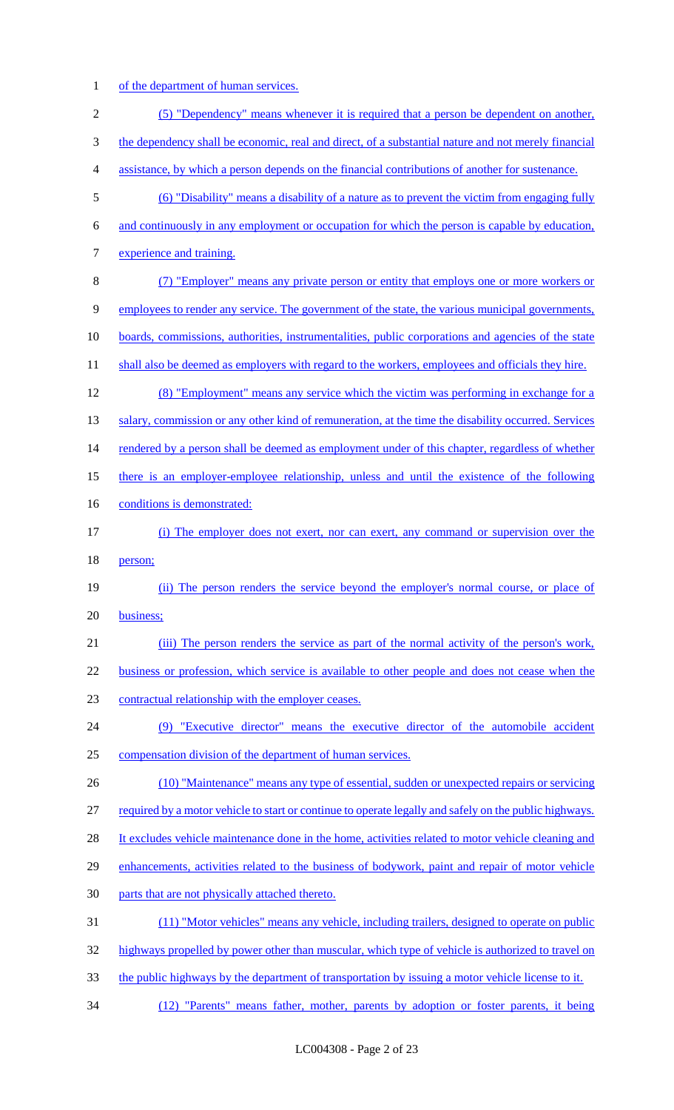1 of the department of human services.

| $\sqrt{2}$       | (5) "Dependency" means whenever it is required that a person be dependent on another,                  |
|------------------|--------------------------------------------------------------------------------------------------------|
| 3                | the dependency shall be economic, real and direct, of a substantial nature and not merely financial    |
| $\overline{4}$   | assistance, by which a person depends on the financial contributions of another for sustenance.        |
| $\mathfrak s$    | (6) "Disability" means a disability of a nature as to prevent the victim from engaging fully           |
| 6                | and continuously in any employment or occupation for which the person is capable by education,         |
| $\boldsymbol{7}$ | experience and training.                                                                               |
| $8\,$            | (7) "Employer" means any private person or entity that employs one or more workers or                  |
| 9                | employees to render any service. The government of the state, the various municipal governments,       |
| 10               | boards, commissions, authorities, instrumentalities, public corporations and agencies of the state     |
| 11               | shall also be deemed as employers with regard to the workers, employees and officials they hire.       |
| 12               | (8) "Employment" means any service which the victim was performing in exchange for a                   |
| 13               | salary, commission or any other kind of remuneration, at the time the disability occurred. Services    |
| 14               | rendered by a person shall be deemed as employment under of this chapter, regardless of whether        |
| 15               | there is an employer-employee relationship, unless and until the existence of the following            |
| 16               | conditions is demonstrated:                                                                            |
| 17               | (i) The employer does not exert, nor can exert, any command or supervision over the                    |
| 18               | person;                                                                                                |
| 19               | (ii) The person renders the service beyond the employer's normal course, or place of                   |
| 20               | business;                                                                                              |
| 21               | (iii) The person renders the service as part of the normal activity of the person's work,              |
| 22               | business or profession, which service is available to other people and does not cease when the         |
| 23               | contractual relationship with the employer ceases.                                                     |
| 24               | (9) "Executive director" means the executive director of the automobile accident                       |
| 25               | compensation division of the department of human services.                                             |
| 26               | (10) "Maintenance" means any type of essential, sudden or unexpected repairs or servicing              |
| 27               | required by a motor vehicle to start or continue to operate legally and safely on the public highways. |
| 28               | It excludes vehicle maintenance done in the home, activities related to motor vehicle cleaning and     |
| 29               | enhancements, activities related to the business of bodywork, paint and repair of motor vehicle        |
| 30               | parts that are not physically attached thereto.                                                        |
| 31               | (11) "Motor vehicles" means any vehicle, including trailers, designed to operate on public             |
| 32               | highways propelled by power other than muscular, which type of vehicle is authorized to travel on      |
| 33               | the public highways by the department of transportation by issuing a motor vehicle license to it.      |
| 34               | (12) "Parents" means father, mother, parents by adoption or foster parents, it being                   |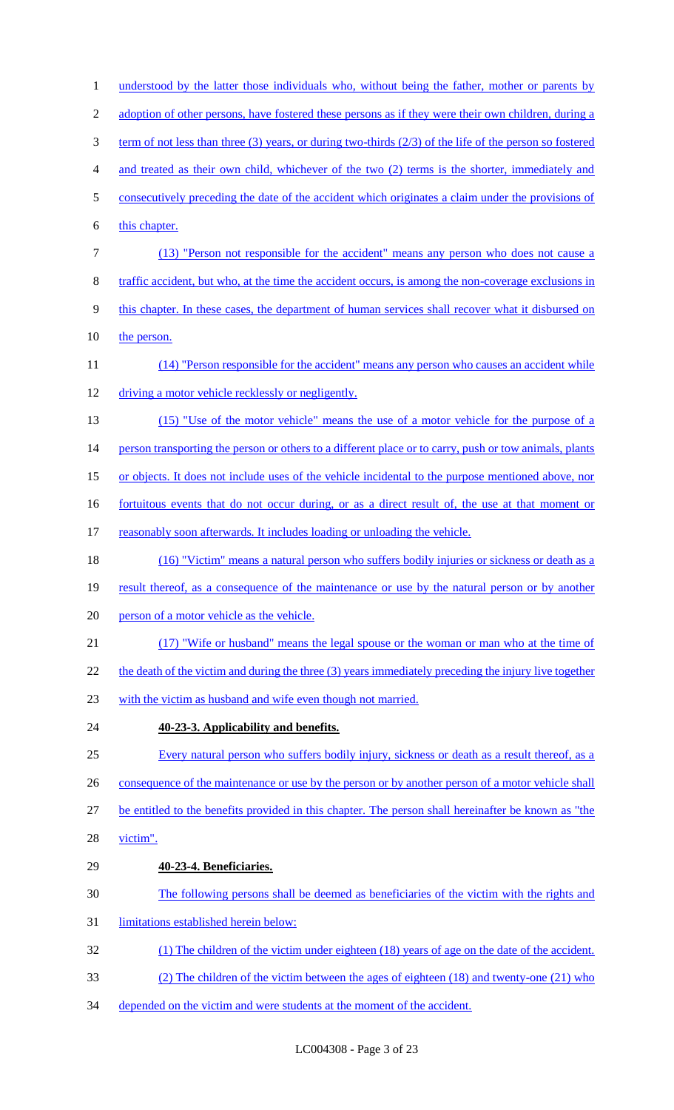1 understood by the latter those individuals who, without being the father, mother or parents by 2 adoption of other persons, have fostered these persons as if they were their own children, during a term of not less than three (3) years, or during two-thirds (2/3) of the life of the person so fostered and treated as their own child, whichever of the two (2) terms is the shorter, immediately and consecutively preceding the date of the accident which originates a claim under the provisions of 6 this chapter. (13) "Person not responsible for the accident" means any person who does not cause a traffic accident, but who, at the time the accident occurs, is among the non-coverage exclusions in this chapter. In these cases, the department of human services shall recover what it disbursed on 10 the person. 11 (14) "Person responsible for the accident" means any person who causes an accident while driving a motor vehicle recklessly or negligently. (15) "Use of the motor vehicle" means the use of a motor vehicle for the purpose of a 14 person transporting the person or others to a different place or to carry, push or tow animals, plants or objects. It does not include uses of the vehicle incidental to the purpose mentioned above, nor 16 fortuitous events that do not occur during, or as a direct result of, the use at that moment or 17 reasonably soon afterwards. It includes loading or unloading the vehicle. (16) "Victim" means a natural person who suffers bodily injuries or sickness or death as a 19 result thereof, as a consequence of the maintenance or use by the natural person or by another person of a motor vehicle as the vehicle. (17) "Wife or husband" means the legal spouse or the woman or man who at the time of 22 the death of the victim and during the three (3) years immediately preceding the injury live together with the victim as husband and wife even though not married. **40-23-3. Applicability and benefits.**  Every natural person who suffers bodily injury, sickness or death as a result thereof, as a 26 consequence of the maintenance or use by the person or by another person of a motor vehicle shall be entitled to the benefits provided in this chapter. The person shall hereinafter be known as "the victim". **40-23-4. Beneficiaries.**  The following persons shall be deemed as beneficiaries of the victim with the rights and limitations established herein below: (1) The children of the victim under eighteen (18) years of age on the date of the accident. (2) The children of the victim between the ages of eighteen (18) and twenty-one (21) who 34 depended on the victim and were students at the moment of the accident.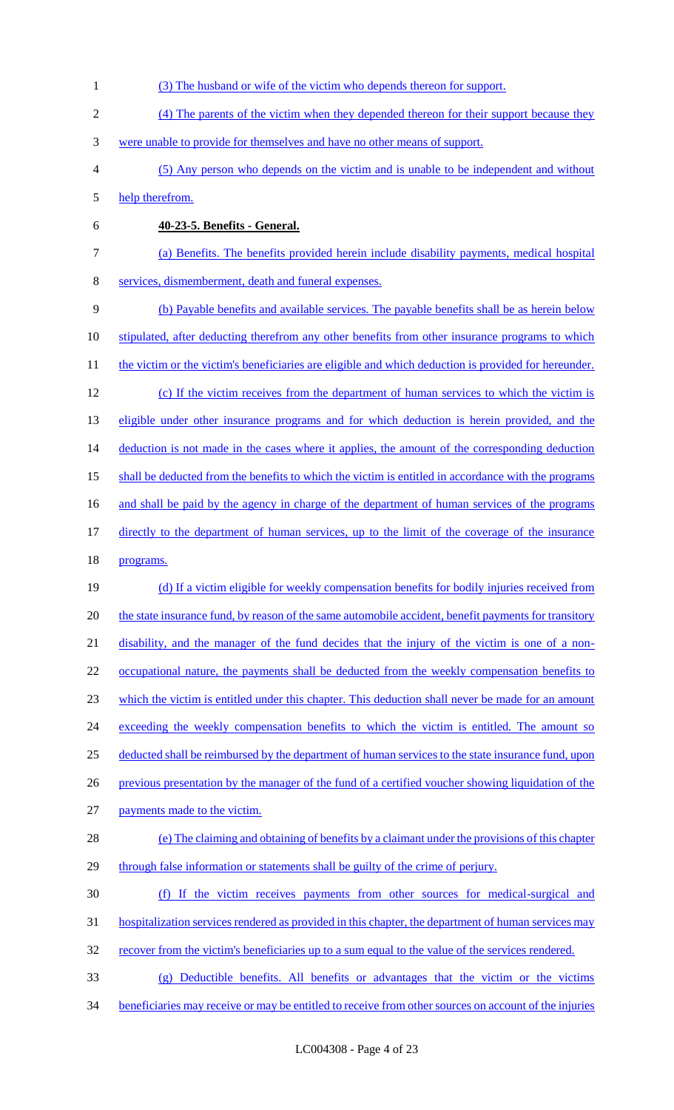(3) The husband or wife of the victim who depends thereon for support. (4) The parents of the victim when they depended thereon for their support because they were unable to provide for themselves and have no other means of support. (5) Any person who depends on the victim and is unable to be independent and without help therefrom. **40-23-5. Benefits - General.**  (a) Benefits. The benefits provided herein include disability payments, medical hospital services, dismemberment, death and funeral expenses. (b) Payable benefits and available services. The payable benefits shall be as herein below 10 stipulated, after deducting therefrom any other benefits from other insurance programs to which 11 the victim or the victim's beneficiaries are eligible and which deduction is provided for hereunder. 12 (c) If the victim receives from the department of human services to which the victim is 13 eligible under other insurance programs and for which deduction is herein provided, and the 14 deduction is not made in the cases where it applies, the amount of the corresponding deduction 15 shall be deducted from the benefits to which the victim is entitled in accordance with the programs 16 and shall be paid by the agency in charge of the department of human services of the programs directly to the department of human services, up to the limit of the coverage of the insurance programs. (d) If a victim eligible for weekly compensation benefits for bodily injuries received from 20 the state insurance fund, by reason of the same automobile accident, benefit payments for transitory disability, and the manager of the fund decides that the injury of the victim is one of a non-22 occupational nature, the payments shall be deducted from the weekly compensation benefits to which the victim is entitled under this chapter. This deduction shall never be made for an amount 24 exceeding the weekly compensation benefits to which the victim is entitled. The amount so deducted shall be reimbursed by the department of human services to the state insurance fund, upon previous presentation by the manager of the fund of a certified voucher showing liquidation of the payments made to the victim. (e) The claiming and obtaining of benefits by a claimant under the provisions of this chapter 29 through false information or statements shall be guilty of the crime of perjury. (f) If the victim receives payments from other sources for medical-surgical and 31 hospitalization services rendered as provided in this chapter, the department of human services may 32 recover from the victim's beneficiaries up to a sum equal to the value of the services rendered. (g) Deductible benefits. All benefits or advantages that the victim or the victims beneficiaries may receive or may be entitled to receive from other sources on account of the injuries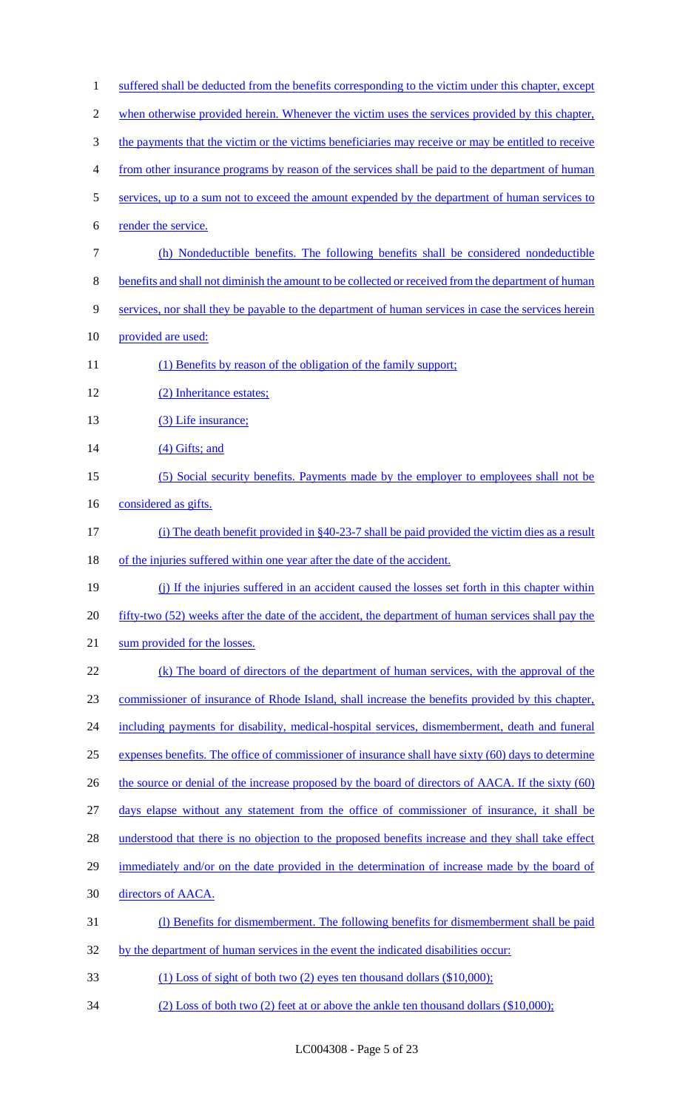| $\mathbf{1}$   | suffered shall be deducted from the benefits corresponding to the victim under this chapter, except |
|----------------|-----------------------------------------------------------------------------------------------------|
| $\overline{2}$ | when otherwise provided herein. Whenever the victim uses the services provided by this chapter,     |
| $\mathfrak{Z}$ | the payments that the victim or the victims beneficiaries may receive or may be entitled to receive |
| $\overline{4}$ | from other insurance programs by reason of the services shall be paid to the department of human    |
| 5              | services, up to a sum not to exceed the amount expended by the department of human services to      |
| 6              | render the service.                                                                                 |
| $\tau$         | (h) Nondeductible benefits. The following benefits shall be considered nondeductible                |
| $8\,$          | benefits and shall not diminish the amount to be collected or received from the department of human |
| 9              | services, nor shall they be payable to the department of human services in case the services herein |
| 10             | provided are used:                                                                                  |
| 11             | (1) Benefits by reason of the obligation of the family support;                                     |
| 12             | (2) Inheritance estates;                                                                            |
| 13             | (3) Life insurance;                                                                                 |
| 14             | (4) Gifts; and                                                                                      |
| 15             | (5) Social security benefits. Payments made by the employer to employees shall not be               |
| 16             | considered as gifts.                                                                                |
| 17             | (i) The death benefit provided in §40-23-7 shall be paid provided the victim dies as a result       |
| 18             | of the injuries suffered within one year after the date of the accident.                            |
| 19             | (j) If the injuries suffered in an accident caused the losses set forth in this chapter within      |
| 20             | fifty-two (52) weeks after the date of the accident, the department of human services shall pay the |
| 21             | sum provided for the losses.                                                                        |
| 22             | (k) The board of directors of the department of human services, with the approval of the            |
| 23             | commissioner of insurance of Rhode Island, shall increase the benefits provided by this chapter,    |
| 24             | including payments for disability, medical-hospital services, dismemberment, death and funeral      |
| 25             | expenses benefits. The office of commissioner of insurance shall have sixty (60) days to determine  |
| 26             | the source or denial of the increase proposed by the board of directors of AACA. If the sixty (60)  |
| 27             | days elapse without any statement from the office of commissioner of insurance, it shall be         |
| 28             | understood that there is no objection to the proposed benefits increase and they shall take effect  |
| 29             | immediately and/or on the date provided in the determination of increase made by the board of       |
| 30             | directors of AACA.                                                                                  |
| 31             | (1) Benefits for dismemberment. The following benefits for dismemberment shall be paid              |
| 32             | by the department of human services in the event the indicated disabilities occur:                  |
| 33             | $(1)$ Loss of sight of both two $(2)$ eyes ten thousand dollars $(\$10,000)$ ;                      |
| 34             | $(2)$ Loss of both two $(2)$ feet at or above the ankle ten thousand dollars (\$10,000);            |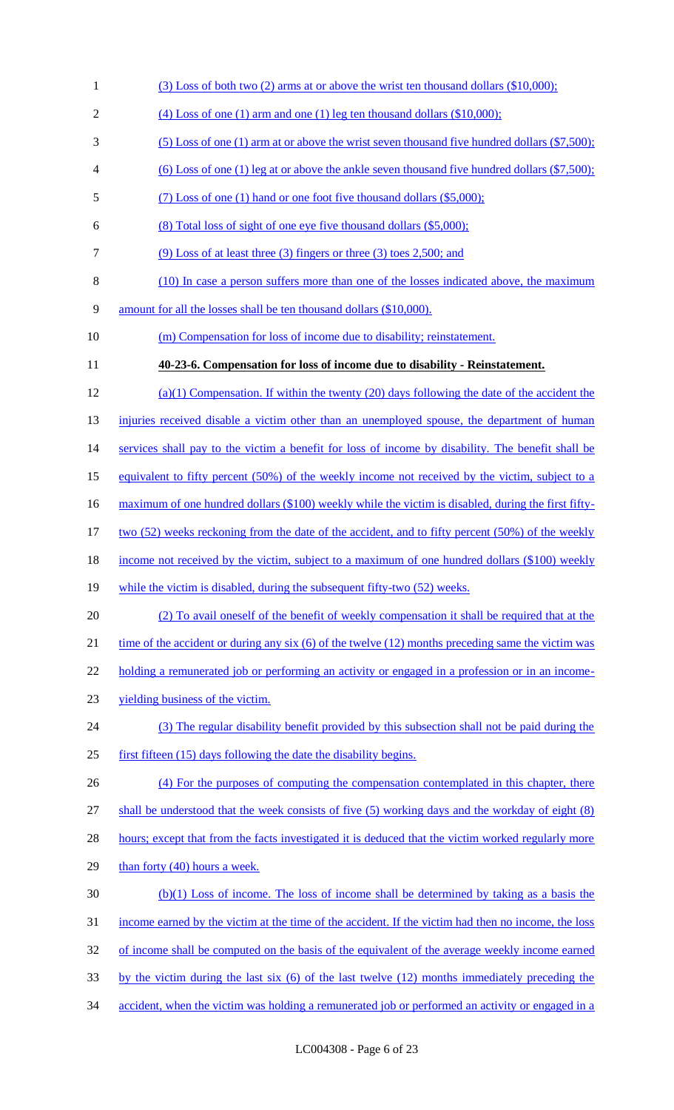- 1 (3) Loss of both two (2) arms at or above the wrist ten thousand dollars (\$10,000);
- 2 (4) Loss of one (1) arm and one (1) leg ten thousand dollars  $(\$10,000)$ ;
- 3 (5) Loss of one (1) arm at or above the wrist seven thousand five hundred dollars (\$7,500);
- 4 (6) Loss of one (1) leg at or above the ankle seven thousand five hundred dollars (\$7,500);
- 5 (7) Loss of one (1) hand or one foot five thousand dollars (\$5,000);
- 6 (8) Total loss of sight of one eye five thousand dollars (\$5,000);
- 7 (9) Loss of at least three (3) fingers or three (3) toes 2,500; and
- 8 (10) In case a person suffers more than one of the losses indicated above, the maximum
- 9 amount for all the losses shall be ten thousand dollars (\$10,000).
- 10 (m) Compensation for loss of income due to disability; reinstatement.
- 11 **40-23-6. Compensation for loss of income due to disability - Reinstatement.**
- 12 (a)(1) Compensation. If within the twenty (20) days following the date of the accident the

13 injuries received disable a victim other than an unemployed spouse, the department of human

14 services shall pay to the victim a benefit for loss of income by disability. The benefit shall be

15 equivalent to fifty percent (50%) of the weekly income not received by the victim, subject to a

16 maximum of one hundred dollars (\$100) weekly while the victim is disabled, during the first fifty-

17 two (52) weeks reckoning from the date of the accident, and to fifty percent (50%) of the weekly

- 18 income not received by the victim, subject to a maximum of one hundred dollars (\$100) weekly
- 19 while the victim is disabled, during the subsequent fifty-two (52) weeks.
- 20 (2) To avail oneself of the benefit of weekly compensation it shall be required that at the 21 time of the accident or during any six (6) of the twelve (12) months preceding same the victim was

22 holding a remunerated job or performing an activity or engaged in a profession or in an income-

- 23 yielding business of the victim.
- 24 (3) The regular disability benefit provided by this subsection shall not be paid during the 25 first fifteen (15) days following the date the disability begins.
- 26 (4) For the purposes of computing the compensation contemplated in this chapter, there

27 shall be understood that the week consists of five (5) working days and the workday of eight (8)

- 28 hours; except that from the facts investigated it is deduced that the victim worked regularly more
- 29 than forty (40) hours a week.
- 30 (b)(1) Loss of income. The loss of income shall be determined by taking as a basis the
- 31 income earned by the victim at the time of the accident. If the victim had then no income, the loss
- 32 of income shall be computed on the basis of the equivalent of the average weekly income earned
- 33 by the victim during the last six (6) of the last twelve (12) months immediately preceding the
- 34 accident, when the victim was holding a remunerated job or performed an activity or engaged in a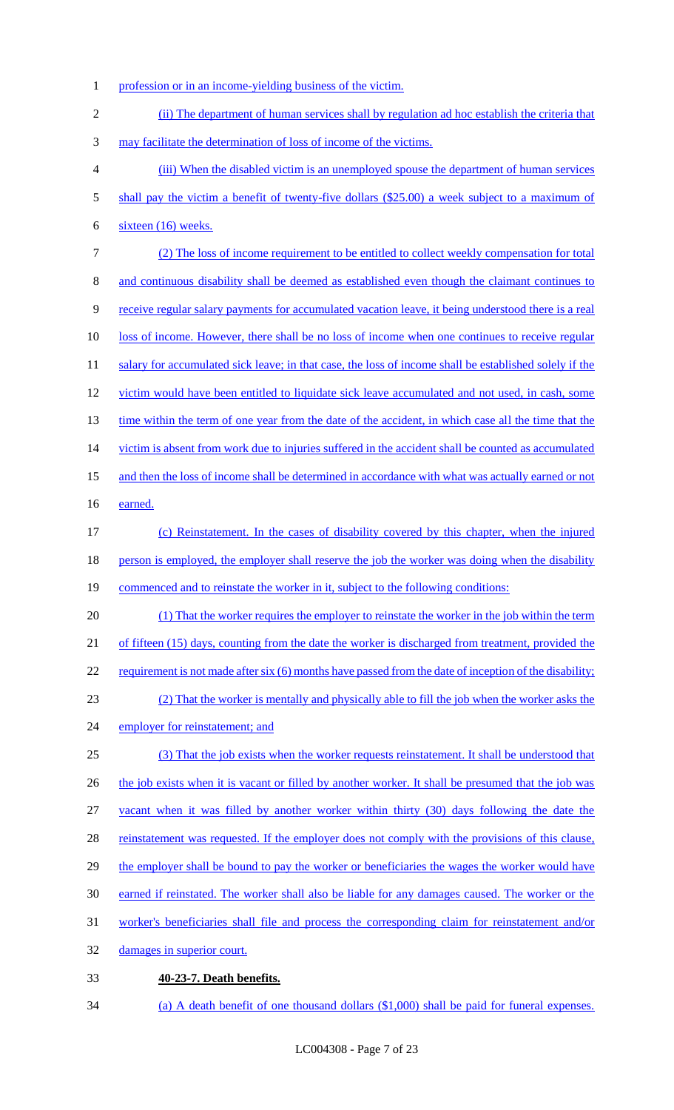1 profession or in an income-yielding business of the victim.

2 (ii) The department of human services shall by regulation ad hoc establish the criteria that 3 may facilitate the determination of loss of income of the victims. 4 (iii) When the disabled victim is an unemployed spouse the department of human services 5 shall pay the victim a benefit of twenty-five dollars (\$25.00) a week subject to a maximum of 6 sixteen (16) weeks. 7 (2) The loss of income requirement to be entitled to collect weekly compensation for total 8 and continuous disability shall be deemed as established even though the claimant continues to 9 receive regular salary payments for accumulated vacation leave, it being understood there is a real 10 loss of income. However, there shall be no loss of income when one continues to receive regular 11 salary for accumulated sick leave; in that case, the loss of income shall be established solely if the 12 victim would have been entitled to liquidate sick leave accumulated and not used, in cash, some 13 time within the term of one year from the date of the accident, in which case all the time that the 14 victim is absent from work due to injuries suffered in the accident shall be counted as accumulated 15 and then the loss of income shall be determined in accordance with what was actually earned or not 16 earned. 17 (c) Reinstatement. In the cases of disability covered by this chapter, when the injured 18 person is employed, the employer shall reserve the job the worker was doing when the disability 19 commenced and to reinstate the worker in it, subject to the following conditions: 20 (1) That the worker requires the employer to reinstate the worker in the job within the term 21 of fifteen (15) days, counting from the date the worker is discharged from treatment, provided the 22 requirement is not made after six (6) months have passed from the date of inception of the disability; 23 (2) That the worker is mentally and physically able to fill the job when the worker asks the 24 employer for reinstatement; and 25 (3) That the job exists when the worker requests reinstatement. It shall be understood that 26 the job exists when it is vacant or filled by another worker. It shall be presumed that the job was 27 vacant when it was filled by another worker within thirty (30) days following the date the 28 reinstatement was requested. If the employer does not comply with the provisions of this clause, 29 the employer shall be bound to pay the worker or beneficiaries the wages the worker would have 30 earned if reinstated. The worker shall also be liable for any damages caused. The worker or the 31 worker's beneficiaries shall file and process the corresponding claim for reinstatement and/or 32 damages in superior court. 33 **40-23-7. Death benefits.** 

LC004308 - Page 7 of 23

34 (a) A death benefit of one thousand dollars (\$1,000) shall be paid for funeral expenses.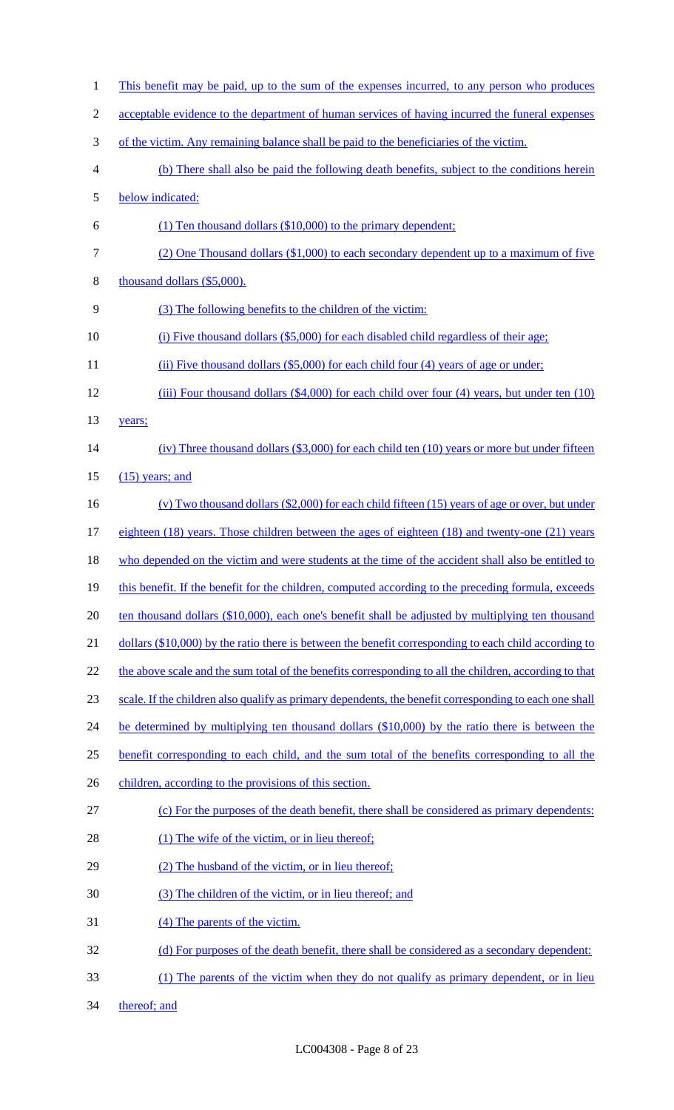1 This benefit may be paid, up to the sum of the expenses incurred, to any person who produces 2 acceptable evidence to the department of human services of having incurred the funeral expenses 3 of the victim. Any remaining balance shall be paid to the beneficiaries of the victim. 4 (b) There shall also be paid the following death benefits, subject to the conditions herein 5 below indicated: 6 (1) Ten thousand dollars (\$10,000) to the primary dependent; 7 (2) One Thousand dollars (\$1,000) to each secondary dependent up to a maximum of five 8 thousand dollars (\$5,000). 9 (3) The following benefits to the children of the victim: 10 (i) Five thousand dollars (\$5,000) for each disabled child regardless of their age; 11 (ii) Five thousand dollars (\$5,000) for each child four (4) years of age or under; 12 (iii) Four thousand dollars (\$4,000) for each child over four (4) years, but under ten (10) 13 years; 14 (iv) Three thousand dollars (\$3,000) for each child ten (10) years or more but under fifteen 15 (15) years; and 16 (v) Two thousand dollars (\$2,000) for each child fifteen (15) years of age or over, but under 17 eighteen (18) years. Those children between the ages of eighteen (18) and twenty-one (21) years 18 who depended on the victim and were students at the time of the accident shall also be entitled to 19 this benefit. If the benefit for the children, computed according to the preceding formula, exceeds 20 ten thousand dollars (\$10,000), each one's benefit shall be adjusted by multiplying ten thousand 21 dollars (\$10,000) by the ratio there is between the benefit corresponding to each child according to 22 the above scale and the sum total of the benefits corresponding to all the children, according to that 23 scale. If the children also qualify as primary dependents, the benefit corresponding to each one shall 24 be determined by multiplying ten thousand dollars (\$10,000) by the ratio there is between the 25 benefit corresponding to each child, and the sum total of the benefits corresponding to all the 26 children, according to the provisions of this section. 27 (c) For the purposes of the death benefit, there shall be considered as primary dependents: 28 (1) The wife of the victim, or in lieu thereof; 29 (2) The husband of the victim, or in lieu thereof; 30 (3) The children of the victim, or in lieu thereof; and 31 (4) The parents of the victim. 32 (d) For purposes of the death benefit, there shall be considered as a secondary dependent: 33 (1) The parents of the victim when they do not qualify as primary dependent, or in lieu 34 thereof; and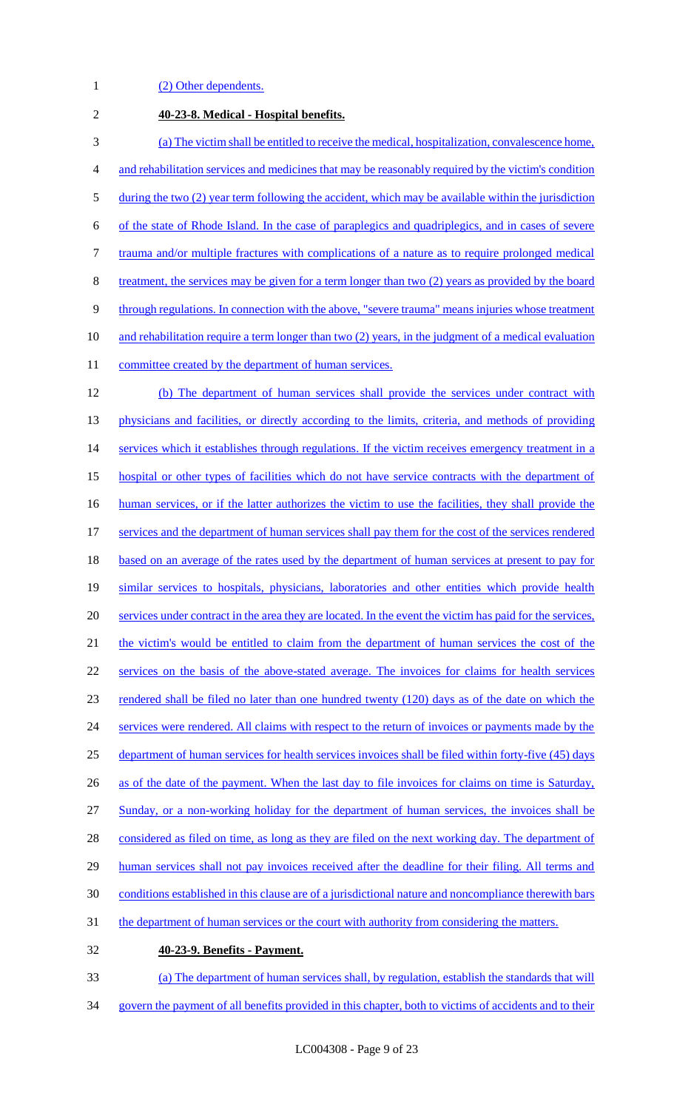1 (2) Other dependents.

| $\overline{2}$ | 40-23-8. Medical - Hospital benefits.                                                                    |
|----------------|----------------------------------------------------------------------------------------------------------|
| 3              | (a) The victim shall be entitled to receive the medical, hospitalization, convalescence home,            |
| 4              | and rehabilitation services and medicines that may be reasonably required by the victim's condition      |
| $\mathfrak{S}$ | during the two (2) year term following the accident, which may be available within the jurisdiction      |
| 6              | of the state of Rhode Island. In the case of paraplegics and quadriplegics, and in cases of severe       |
| $\tau$         | trauma and/or multiple fractures with complications of a nature as to require prolonged medical          |
| 8              | treatment, the services may be given for a term longer than two (2) years as provided by the board       |
| $\overline{9}$ | through regulations. In connection with the above, "severe trauma" means injuries whose treatment        |
| 10             | and rehabilitation require a term longer than two (2) years, in the judgment of a medical evaluation     |
| 11             | committee created by the department of human services.                                                   |
| 12             | (b) The department of human services shall provide the services under contract with                      |
| 13             | physicians and facilities, or directly according to the limits, criteria, and methods of providing       |
| 14             | services which it establishes through regulations. If the victim receives emergency treatment in a       |
| 15             | hospital or other types of facilities which do not have service contracts with the department of         |
| 16             | human services, or if the latter authorizes the victim to use the facilities, they shall provide the     |
| 17             | services and the department of human services shall pay them for the cost of the services rendered       |
| 18             | based on an average of the rates used by the department of human services at present to pay for          |
| 19             | similar services to hospitals, physicians, laboratories and other entities which provide health          |
| 20             | services under contract in the area they are located. In the event the victim has paid for the services, |
| 21             | the victim's would be entitled to claim from the department of human services the cost of the            |
| 22             | services on the basis of the above-stated average. The invoices for claims for health services           |
| 23             | rendered shall be filed no later than one hundred twenty (120) days as of the date on which the          |
| 24             | services were rendered. All claims with respect to the return of invoices or payments made by the        |
| 25             | department of human services for health services invoices shall be filed within forty-five (45) days     |
| 26             | as of the date of the payment. When the last day to file invoices for claims on time is Saturday,        |
| 27             | Sunday, or a non-working holiday for the department of human services, the invoices shall be             |
| 28             | considered as filed on time, as long as they are filed on the next working day. The department of        |
| 29             | human services shall not pay invoices received after the deadline for their filing. All terms and        |
| 30             | conditions established in this clause are of a jurisdictional nature and noncompliance therewith bars    |
| 31             | the department of human services or the court with authority from considering the matters.               |
| 32             | 40-23-9. Benefits - Payment.                                                                             |
| 33             | (a) The department of human services shall, by regulation, establish the standards that will             |

govern the payment of all benefits provided in this chapter, both to victims of accidents and to their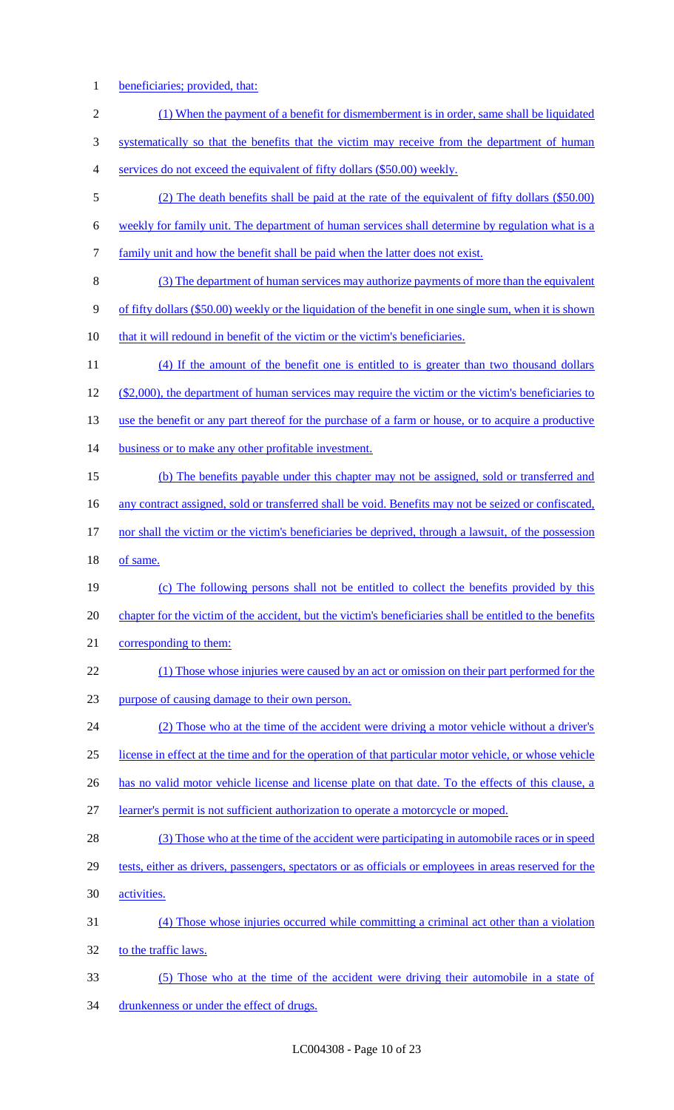1 beneficiaries; provided, that:

| $\overline{2}$ | (1) When the payment of a benefit for dismemberment is in order, same shall be liquidated                |
|----------------|----------------------------------------------------------------------------------------------------------|
| 3              | systematically so that the benefits that the victim may receive from the department of human             |
| 4              | services do not exceed the equivalent of fifty dollars (\$50.00) weekly.                                 |
| 5              | (2) The death benefits shall be paid at the rate of the equivalent of fifty dollars (\$50.00)            |
| 6              | weekly for family unit. The department of human services shall determine by regulation what is a         |
| 7              | family unit and how the benefit shall be paid when the latter does not exist.                            |
| 8              | (3) The department of human services may authorize payments of more than the equivalent                  |
| 9              | of fifty dollars (\$50.00) weekly or the liquidation of the benefit in one single sum, when it is shown  |
| 10             | that it will redound in benefit of the victim or the victim's beneficiaries.                             |
| 11             | (4) If the amount of the benefit one is entitled to is greater than two thousand dollars                 |
| 12             | $(\$2,000)$ , the department of human services may require the victim or the victim's beneficiaries to   |
| 13             | use the benefit or any part thereof for the purchase of a farm or house, or to acquire a productive      |
| 14             | business or to make any other profitable investment.                                                     |
| 15             | (b) The benefits payable under this chapter may not be assigned, sold or transferred and                 |
| 16             | any contract assigned, sold or transferred shall be void. Benefits may not be seized or confiscated,     |
| 17             | nor shall the victim or the victim's beneficiaries be deprived, through a lawsuit, of the possession     |
| 18             | of same.                                                                                                 |
| 19             | (c) The following persons shall not be entitled to collect the benefits provided by this                 |
| 20             | chapter for the victim of the accident, but the victim's beneficiaries shall be entitled to the benefits |
| 21             | corresponding to them:                                                                                   |
| 22             | (1) Those whose injuries were caused by an act or omission on their part performed for the               |
| 23             | purpose of causing damage to their own person.                                                           |
| 24             | (2) Those who at the time of the accident were driving a motor vehicle without a driver's                |
| 25             | license in effect at the time and for the operation of that particular motor vehicle, or whose vehicle   |
| 26             | has no valid motor vehicle license and license plate on that date. To the effects of this clause, a      |
| 27             | learner's permit is not sufficient authorization to operate a motorcycle or moped.                       |
| 28             | (3) Those who at the time of the accident were participating in automobile races or in speed             |
| 29             | tests, either as drivers, passengers, spectators or as officials or employees in areas reserved for the  |
| 30             | activities.                                                                                              |
|                |                                                                                                          |
| 31             | (4) Those whose injuries occurred while committing a criminal act other than a violation                 |
| 32             | to the traffic laws.                                                                                     |

34 drunkenness or under the effect of drugs.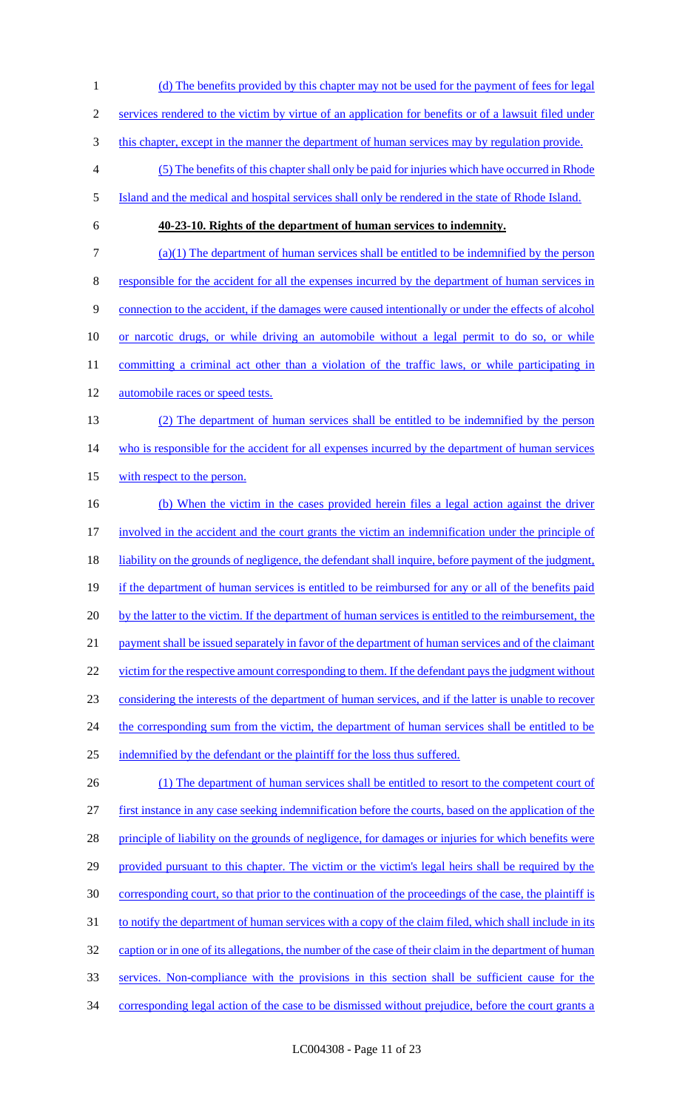1 (d) The benefits provided by this chapter may not be used for the payment of fees for legal 2 services rendered to the victim by virtue of an application for benefits or of a lawsuit filed under 3 this chapter, except in the manner the department of human services may by regulation provide. 4 (5) The benefits of this chapter shall only be paid for injuries which have occurred in Rhode 5 Island and the medical and hospital services shall only be rendered in the state of Rhode Island. 6 **40-23-10. Rights of the department of human services to indemnity.**  7 (a)(1) The department of human services shall be entitled to be indemnified by the person 8 responsible for the accident for all the expenses incurred by the department of human services in 9 connection to the accident, if the damages were caused intentionally or under the effects of alcohol 10 or narcotic drugs, or while driving an automobile without a legal permit to do so, or while 11 committing a criminal act other than a violation of the traffic laws, or while participating in 12 automobile races or speed tests. 13 (2) The department of human services shall be entitled to be indemnified by the person 14 who is responsible for the accident for all expenses incurred by the department of human services 15 with respect to the person. 16 (b) When the victim in the cases provided herein files a legal action against the driver 17 involved in the accident and the court grants the victim an indemnification under the principle of 18 liability on the grounds of negligence, the defendant shall inquire, before payment of the judgment, 19 if the department of human services is entitled to be reimbursed for any or all of the benefits paid 20 by the latter to the victim. If the department of human services is entitled to the reimbursement, the 21 payment shall be issued separately in favor of the department of human services and of the claimant 22 victim for the respective amount corresponding to them. If the defendant pays the judgment without 23 considering the interests of the department of human services, and if the latter is unable to recover 24 the corresponding sum from the victim, the department of human services shall be entitled to be 25 indemnified by the defendant or the plaintiff for the loss thus suffered. 26 (1) The department of human services shall be entitled to resort to the competent court of 27 first instance in any case seeking indemnification before the courts, based on the application of the 28 principle of liability on the grounds of negligence, for damages or injuries for which benefits were 29 provided pursuant to this chapter. The victim or the victim's legal heirs shall be required by the 30 corresponding court, so that prior to the continuation of the proceedings of the case, the plaintiff is 31 to notify the department of human services with a copy of the claim filed, which shall include in its 32 caption or in one of its allegations, the number of the case of their claim in the department of human 33 services. Non-compliance with the provisions in this section shall be sufficient cause for the 34 corresponding legal action of the case to be dismissed without prejudice, before the court grants a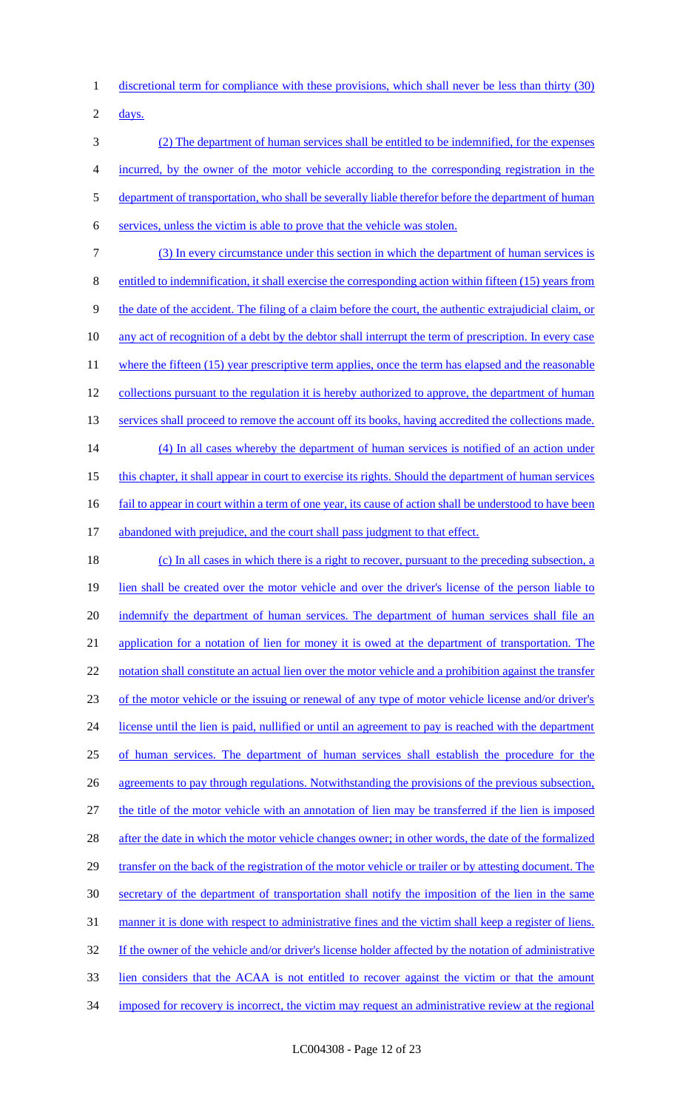1 discretional term for compliance with these provisions, which shall never be less than thirty (30)

2  $\frac{days.}{9}$ 

 (2) The department of human services shall be entitled to be indemnified, for the expenses incurred, by the owner of the motor vehicle according to the corresponding registration in the 5 department of transportation, who shall be severally liable therefor before the department of human services, unless the victim is able to prove that the vehicle was stolen.

7 (3) In every circumstance under this section in which the department of human services is 8 entitled to indemnification, it shall exercise the corresponding action within fifteen (15) years from 9 the date of the accident. The filing of a claim before the court, the authentic extrajudicial claim, or 10 any act of recognition of a debt by the debtor shall interrupt the term of prescription. In every case 11 where the fifteen (15) year prescriptive term applies, once the term has elapsed and the reasonable 12 collections pursuant to the regulation it is hereby authorized to approve, the department of human 13 services shall proceed to remove the account off its books, having accredited the collections made. 14 (4) In all cases whereby the department of human services is notified of an action under 15 this chapter, it shall appear in court to exercise its rights. Should the department of human services 16 fail to appear in court within a term of one year, its cause of action shall be understood to have been

# 17 abandoned with prejudice, and the court shall pass judgment to that effect.

18 (c) In all cases in which there is a right to recover, pursuant to the preceding subsection, a 19 lien shall be created over the motor vehicle and over the driver's license of the person liable to 20 indemnify the department of human services. The department of human services shall file an 21 application for a notation of lien for money it is owed at the department of transportation. The 22 notation shall constitute an actual lien over the motor vehicle and a prohibition against the transfer 23 of the motor vehicle or the issuing or renewal of any type of motor vehicle license and/or driver's 24 license until the lien is paid, nullified or until an agreement to pay is reached with the department 25 of human services. The department of human services shall establish the procedure for the 26 agreements to pay through regulations. Notwithstanding the provisions of the previous subsection, 27 the title of the motor vehicle with an annotation of lien may be transferred if the lien is imposed 28 after the date in which the motor vehicle changes owner; in other words, the date of the formalized 29 transfer on the back of the registration of the motor vehicle or trailer or by attesting document. The 30 secretary of the department of transportation shall notify the imposition of the lien in the same 31 manner it is done with respect to administrative fines and the victim shall keep a register of liens. 32 If the owner of the vehicle and/or driver's license holder affected by the notation of administrative 33 lien considers that the ACAA is not entitled to recover against the victim or that the amount 34 imposed for recovery is incorrect, the victim may request an administrative review at the regional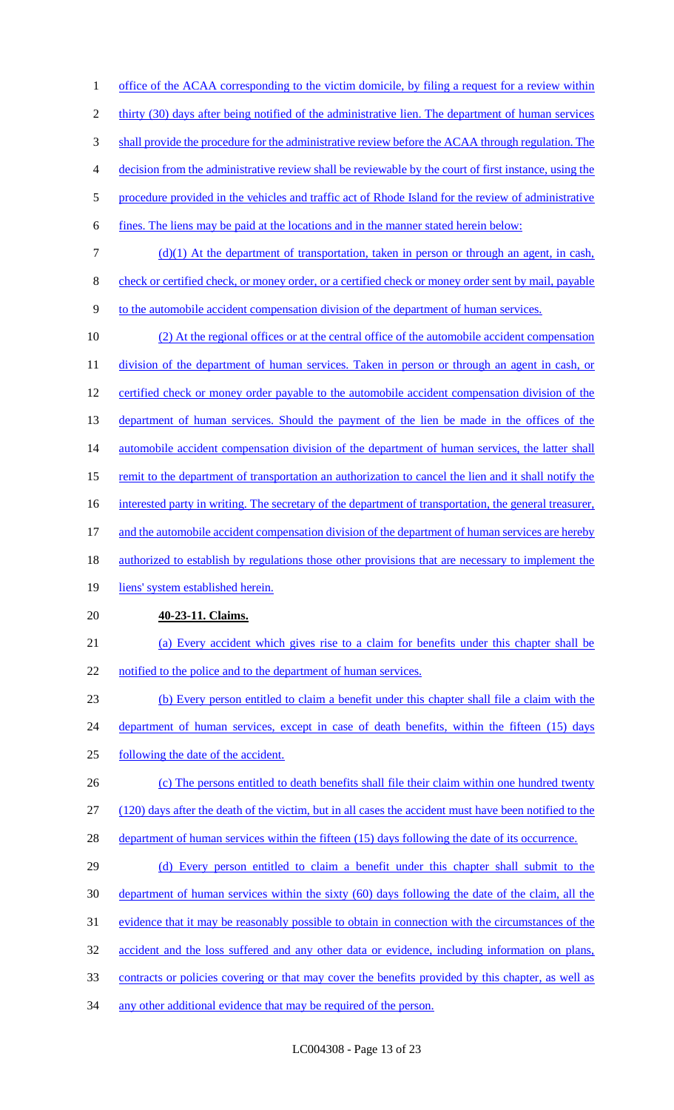1 office of the ACAA corresponding to the victim domicile, by filing a request for a review within 2 thirty (30) days after being notified of the administrative lien. The department of human services 3 shall provide the procedure for the administrative review before the ACAA through regulation. The 4 decision from the administrative review shall be reviewable by the court of first instance, using the 5 procedure provided in the vehicles and traffic act of Rhode Island for the review of administrative 6 fines. The liens may be paid at the locations and in the manner stated herein below: 7 (d)(1) At the department of transportation, taken in person or through an agent, in cash, 8 check or certified check, or money order, or a certified check or money order sent by mail, payable 9 to the automobile accident compensation division of the department of human services. 10 (2) At the regional offices or at the central office of the automobile accident compensation 11 division of the department of human services. Taken in person or through an agent in cash, or 12 certified check or money order payable to the automobile accident compensation division of the 13 department of human services. Should the payment of the lien be made in the offices of the 14 automobile accident compensation division of the department of human services, the latter shall 15 remit to the department of transportation an authorization to cancel the lien and it shall notify the 16 interested party in writing. The secretary of the department of transportation, the general treasurer, 17 and the automobile accident compensation division of the department of human services are hereby 18 authorized to establish by regulations those other provisions that are necessary to implement the 19 liens' system established herein. 20 **40-23-11. Claims.**  21 (a) Every accident which gives rise to a claim for benefits under this chapter shall be 22 notified to the police and to the department of human services. 23 (b) Every person entitled to claim a benefit under this chapter shall file a claim with the 24 department of human services, except in case of death benefits, within the fifteen (15) days 25 following the date of the accident. 26 (c) The persons entitled to death benefits shall file their claim within one hundred twenty 27 (120) days after the death of the victim, but in all cases the accident must have been notified to the 28 department of human services within the fifteen (15) days following the date of its occurrence. 29 (d) Every person entitled to claim a benefit under this chapter shall submit to the 30 department of human services within the sixty (60) days following the date of the claim, all the 31 evidence that it may be reasonably possible to obtain in connection with the circumstances of the 32 accident and the loss suffered and any other data or evidence, including information on plans, 33 contracts or policies covering or that may cover the benefits provided by this chapter, as well as 34 any other additional evidence that may be required of the person.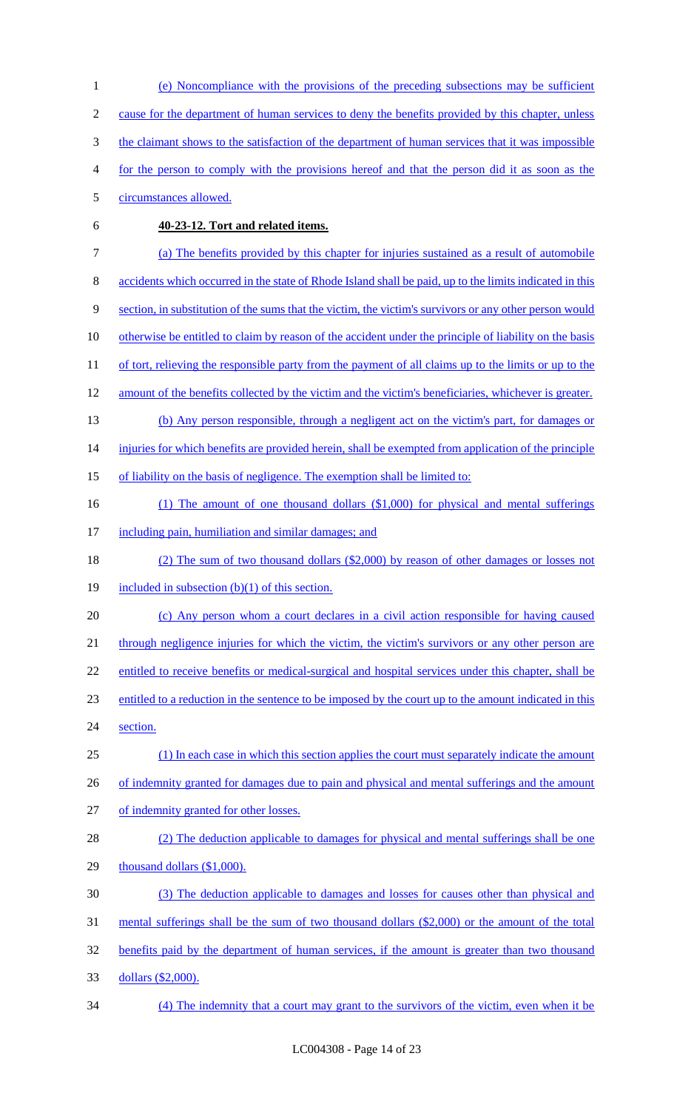(e) Noncompliance with the provisions of the preceding subsections may be sufficient 2 cause for the department of human services to deny the benefits provided by this chapter, unless 3 the claimant shows to the satisfaction of the department of human services that it was impossible for the person to comply with the provisions hereof and that the person did it as soon as the circumstances allowed. **40-23-12. Tort and related items.**  (a) The benefits provided by this chapter for injuries sustained as a result of automobile accidents which occurred in the state of Rhode Island shall be paid, up to the limits indicated in this section, in substitution of the sums that the victim, the victim's survivors or any other person would 10 otherwise be entitled to claim by reason of the accident under the principle of liability on the basis 11 of tort, relieving the responsible party from the payment of all claims up to the limits or up to the 12 amount of the benefits collected by the victim and the victim's beneficiaries, whichever is greater. (b) Any person responsible, through a negligent act on the victim's part, for damages or 14 injuries for which benefits are provided herein, shall be exempted from application of the principle of liability on the basis of negligence. The exemption shall be limited to: (1) The amount of one thousand dollars (\$1,000) for physical and mental sufferings 17 including pain, humiliation and similar damages; and (2) The sum of two thousand dollars (\$2,000) by reason of other damages or losses not 19 included in subsection  $(b)(1)$  of this section. (c) Any person whom a court declares in a civil action responsible for having caused 21 through negligence injuries for which the victim, the victim's survivors or any other person are entitled to receive benefits or medical-surgical and hospital services under this chapter, shall be entitled to a reduction in the sentence to be imposed by the court up to the amount indicated in this section. (1) In each case in which this section applies the court must separately indicate the amount 26 of indemnity granted for damages due to pain and physical and mental sufferings and the amount of indemnity granted for other losses. (2) The deduction applicable to damages for physical and mental sufferings shall be one 29 thousand dollars (\$1,000). (3) The deduction applicable to damages and losses for causes other than physical and mental sufferings shall be the sum of two thousand dollars (\$2,000) or the amount of the total benefits paid by the department of human services, if the amount is greater than two thousand dollars (\$2,000). (4) The indemnity that a court may grant to the survivors of the victim, even when it be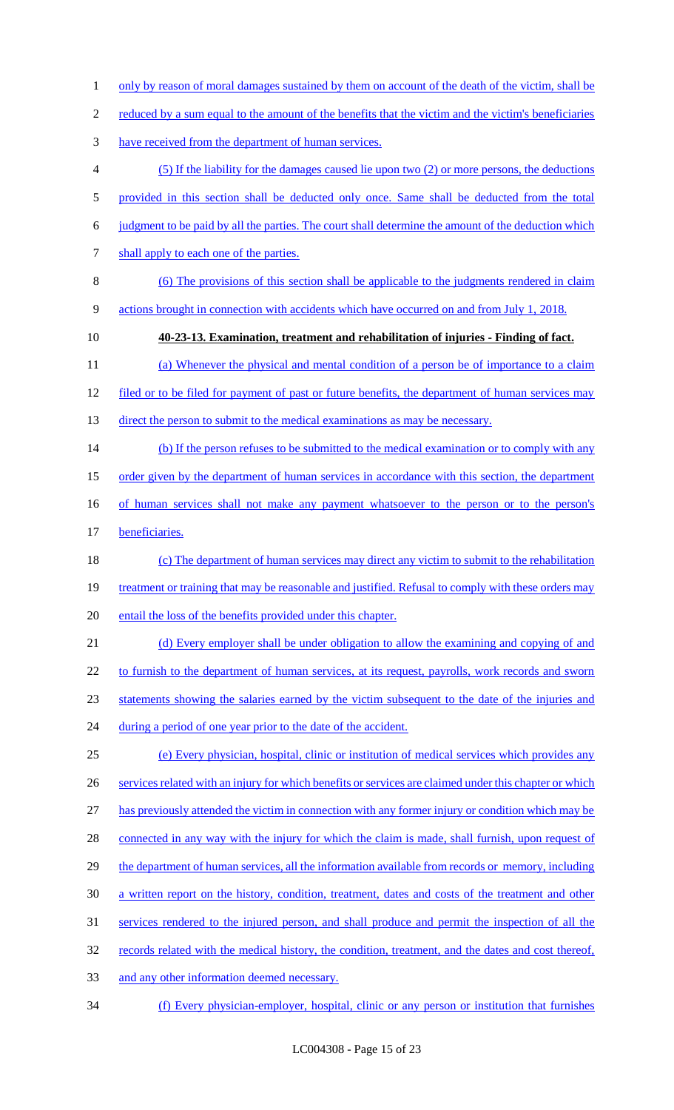- 1 only by reason of moral damages sustained by them on account of the death of the victim, shall be
- 2 reduced by a sum equal to the amount of the benefits that the victim and the victim's beneficiaries
- 3 have received from the department of human services.
- 4 (5) If the liability for the damages caused lie upon two (2) or more persons, the deductions
- 5 provided in this section shall be deducted only once. Same shall be deducted from the total
- 6 judgment to be paid by all the parties. The court shall determine the amount of the deduction which
- 7 shall apply to each one of the parties.
- 8 (6) The provisions of this section shall be applicable to the judgments rendered in claim 9 actions brought in connection with accidents which have occurred on and from July 1, 2018.
- 

#### 10 **40-23-13. Examination, treatment and rehabilitation of injuries - Finding of fact.**

11 (a) Whenever the physical and mental condition of a person be of importance to a claim 12 filed or to be filed for payment of past or future benefits, the department of human services may

- 
- 13 direct the person to submit to the medical examinations as may be necessary.
- 14 (b) If the person refuses to be submitted to the medical examination or to comply with any
- 15 order given by the department of human services in accordance with this section, the department
- 16 of human services shall not make any payment whatsoever to the person or to the person's
- 17 beneficiaries.
- 18 (c) The department of human services may direct any victim to submit to the rehabilitation 19 treatment or training that may be reasonable and justified. Refusal to comply with these orders may 20 entail the loss of the benefits provided under this chapter.
- 21 (d) Every employer shall be under obligation to allow the examining and copying of and
- 22 to furnish to the department of human services, at its request, payrolls, work records and sworn
- 23 statements showing the salaries earned by the victim subsequent to the date of the injuries and
- 24 during a period of one year prior to the date of the accident.
- 25 (e) Every physician, hospital, clinic or institution of medical services which provides any 26 services related with an injury for which benefits or services are claimed under this chapter or which 27 has previously attended the victim in connection with any former injury or condition which may be 28 connected in any way with the injury for which the claim is made, shall furnish, upon request of 29 the department of human services, all the information available from records or memory, including 30 a written report on the history, condition, treatment, dates and costs of the treatment and other 31 services rendered to the injured person, and shall produce and permit the inspection of all the 32 records related with the medical history, the condition, treatment, and the dates and cost thereof,
- 33 and any other information deemed necessary.
- 34 (f) Every physician-employer, hospital, clinic or any person or institution that furnishes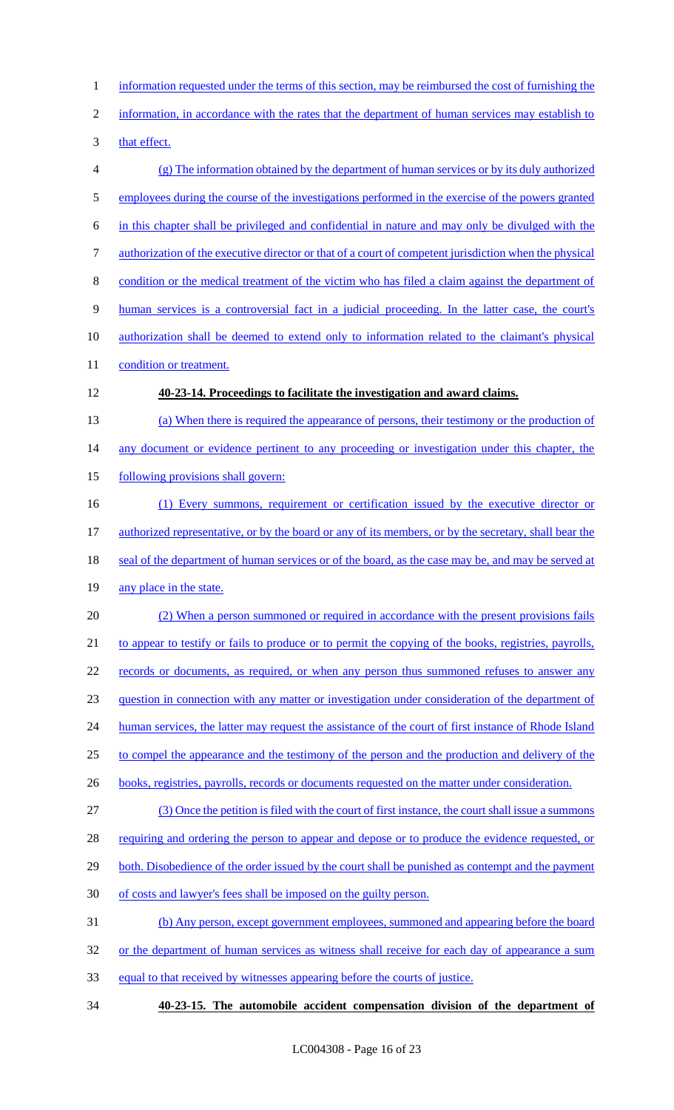1 information requested under the terms of this section, may be reimbursed the cost of furnishing the 2 information, in accordance with the rates that the department of human services may establish to 3 that effect. 4 (g) The information obtained by the department of human services or by its duly authorized 5 employees during the course of the investigations performed in the exercise of the powers granted 6 in this chapter shall be privileged and confidential in nature and may only be divulged with the 7 authorization of the executive director or that of a court of competent jurisdiction when the physical 8 condition or the medical treatment of the victim who has filed a claim against the department of 9 human services is a controversial fact in a judicial proceeding. In the latter case, the court's 10 authorization shall be deemed to extend only to information related to the claimant's physical 11 condition or treatment. 12 **40-23-14. Proceedings to facilitate the investigation and award claims.**  13 (a) When there is required the appearance of persons, their testimony or the production of 14 any document or evidence pertinent to any proceeding or investigation under this chapter, the 15 following provisions shall govern: 16 (1) Every summons, requirement or certification issued by the executive director or 17 authorized representative, or by the board or any of its members, or by the secretary, shall bear the 18 seal of the department of human services or of the board, as the case may be, and may be served at 19 any place in the state. 20 (2) When a person summoned or required in accordance with the present provisions fails 21 to appear to testify or fails to produce or to permit the copying of the books, registries, payrolls, 22 records or documents, as required, or when any person thus summoned refuses to answer any 23 question in connection with any matter or investigation under consideration of the department of 24 human services, the latter may request the assistance of the court of first instance of Rhode Island

- 25 to compel the appearance and the testimony of the person and the production and delivery of the
- 26 books, registries, payrolls, records or documents requested on the matter under consideration.

27 (3) Once the petition is filed with the court of first instance, the court shall issue a summons 28 requiring and ordering the person to appear and depose or to produce the evidence requested, or

- 29 both. Disobedience of the order issued by the court shall be punished as contempt and the payment
- 30 of costs and lawyer's fees shall be imposed on the guilty person.

31 (b) Any person, except government employees, summoned and appearing before the board

- 32 or the department of human services as witness shall receive for each day of appearance a sum
- 33 equal to that received by witnesses appearing before the courts of justice.

34 **40-23-15. The automobile accident compensation division of the department of**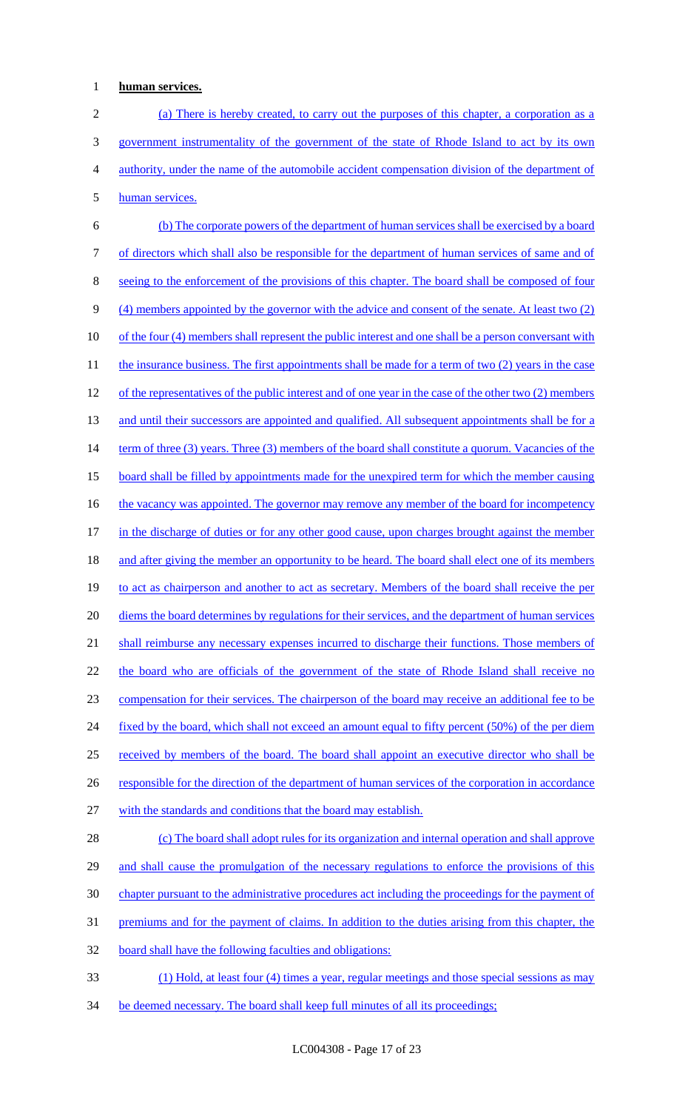## 1 **human services.**

 (a) There is hereby created, to carry out the purposes of this chapter, a corporation as a government instrumentality of the government of the state of Rhode Island to act by its own authority, under the name of the automobile accident compensation division of the department of human services.

6 (b) The corporate powers of the department of human services shall be exercised by a board 7 of directors which shall also be responsible for the department of human services of same and of 8 seeing to the enforcement of the provisions of this chapter. The board shall be composed of four 9 (4) members appointed by the governor with the advice and consent of the senate. At least two (2) 10 of the four (4) members shall represent the public interest and one shall be a person conversant with 11 the insurance business. The first appointments shall be made for a term of two (2) years in the case 12 of the representatives of the public interest and of one year in the case of the other two (2) members 13 and until their successors are appointed and qualified. All subsequent appointments shall be for a 14 term of three (3) years. Three (3) members of the board shall constitute a quorum. Vacancies of the 15 board shall be filled by appointments made for the unexpired term for which the member causing 16 the vacancy was appointed. The governor may remove any member of the board for incompetency 17 in the discharge of duties or for any other good cause, upon charges brought against the member 18 and after giving the member an opportunity to be heard. The board shall elect one of its members 19 to act as chairperson and another to act as secretary. Members of the board shall receive the per 20 diems the board determines by regulations for their services, and the department of human services 21 shall reimburse any necessary expenses incurred to discharge their functions. Those members of 22 the board who are officials of the government of the state of Rhode Island shall receive no 23 compensation for their services. The chairperson of the board may receive an additional fee to be 24 fixed by the board, which shall not exceed an amount equal to fifty percent (50%) of the per diem 25 received by members of the board. The board shall appoint an executive director who shall be 26 responsible for the direction of the department of human services of the corporation in accordance 27 with the standards and conditions that the board may establish. 28 (c) The board shall adopt rules for its organization and internal operation and shall approve 29 and shall cause the promulgation of the necessary regulations to enforce the provisions of this

30 chapter pursuant to the administrative procedures act including the proceedings for the payment of

31 premiums and for the payment of claims. In addition to the duties arising from this chapter, the

32 board shall have the following faculties and obligations:

33 (1) Hold, at least four (4) times a year, regular meetings and those special sessions as may

34 be deemed necessary. The board shall keep full minutes of all its proceedings;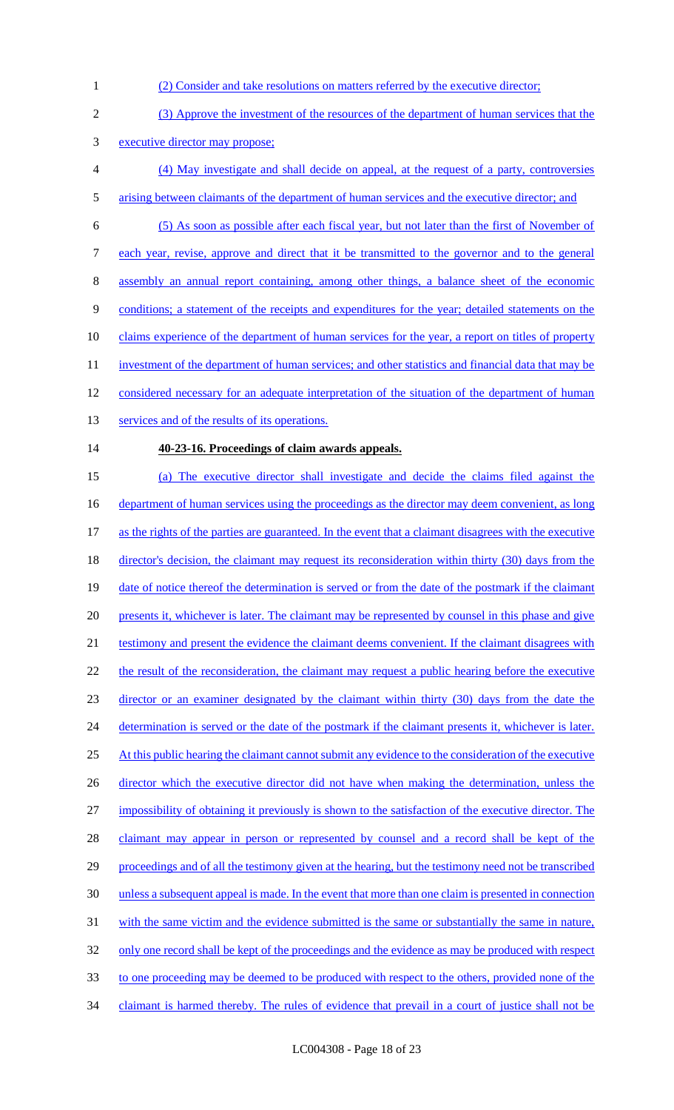- 1 (2) Consider and take resolutions on matters referred by the executive director;
- 2 (3) Approve the investment of the resources of the department of human services that the 3 executive director may propose;
- 4 (4) May investigate and shall decide on appeal, at the request of a party, controversies 5 arising between claimants of the department of human services and the executive director; and
- 6 (5) As soon as possible after each fiscal year, but not later than the first of November of
- 7 each year, revise, approve and direct that it be transmitted to the governor and to the general
- 8 assembly an annual report containing, among other things, a balance sheet of the economic
- 9 conditions; a statement of the receipts and expenditures for the year; detailed statements on the
- 10 claims experience of the department of human services for the year, a report on titles of property
- 11 investment of the department of human services; and other statistics and financial data that may be
- 12 considered necessary for an adequate interpretation of the situation of the department of human
- 13 services and of the results of its operations.

#### 14 **40-23-16. Proceedings of claim awards appeals.**

15 (a) The executive director shall investigate and decide the claims filed against the 16 department of human services using the proceedings as the director may deem convenient, as long 17 as the rights of the parties are guaranteed. In the event that a claimant disagrees with the executive 18 director's decision, the claimant may request its reconsideration within thirty (30) days from the 19 date of notice thereof the determination is served or from the date of the postmark if the claimant 20 presents it, whichever is later. The claimant may be represented by counsel in this phase and give 21 testimony and present the evidence the claimant deems convenient. If the claimant disagrees with 22 the result of the reconsideration, the claimant may request a public hearing before the executive 23 director or an examiner designated by the claimant within thirty (30) days from the date the 24 determination is served or the date of the postmark if the claimant presents it, whichever is later. 25 At this public hearing the claimant cannot submit any evidence to the consideration of the executive 26 director which the executive director did not have when making the determination, unless the 27 impossibility of obtaining it previously is shown to the satisfaction of the executive director. The 28 claimant may appear in person or represented by counsel and a record shall be kept of the 29 proceedings and of all the testimony given at the hearing, but the testimony need not be transcribed 30 unless a subsequent appeal is made. In the event that more than one claim is presented in connection 31 with the same victim and the evidence submitted is the same or substantially the same in nature, 32 only one record shall be kept of the proceedings and the evidence as may be produced with respect 33 to one proceeding may be deemed to be produced with respect to the others, provided none of the 34 claimant is harmed thereby. The rules of evidence that prevail in a court of justice shall not be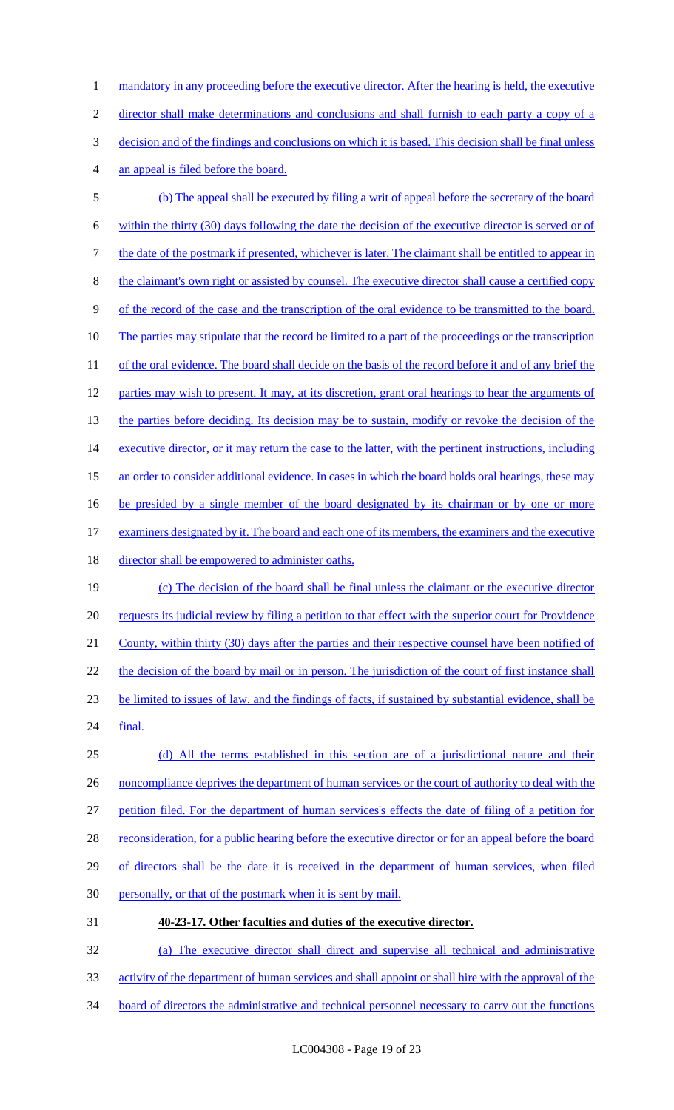1 mandatory in any proceeding before the executive director. After the hearing is held, the executive director shall make determinations and conclusions and shall furnish to each party a copy of a decision and of the findings and conclusions on which it is based. This decision shall be final unless an appeal is filed before the board. (b) The appeal shall be executed by filing a writ of appeal before the secretary of the board within the thirty (30) days following the date the decision of the executive director is served or of

7 the date of the postmark if presented, whichever is later. The claimant shall be entitled to appear in 8 the claimant's own right or assisted by counsel. The executive director shall cause a certified copy 9 of the record of the case and the transcription of the oral evidence to be transmitted to the board. 10 The parties may stipulate that the record be limited to a part of the proceedings or the transcription 11 of the oral evidence. The board shall decide on the basis of the record before it and of any brief the 12 parties may wish to present. It may, at its discretion, grant oral hearings to hear the arguments of 13 the parties before deciding. Its decision may be to sustain, modify or revoke the decision of the 14 executive director, or it may return the case to the latter, with the pertinent instructions, including 15 an order to consider additional evidence. In cases in which the board holds oral hearings, these may 16 be presided by a single member of the board designated by its chairman or by one or more 17 examiners designated by it. The board and each one of its members, the examiners and the executive 18 director shall be empowered to administer oaths.

19 (c) The decision of the board shall be final unless the claimant or the executive director 20 requests its judicial review by filing a petition to that effect with the superior court for Providence 21 County, within thirty (30) days after the parties and their respective counsel have been notified of 22 the decision of the board by mail or in person. The jurisdiction of the court of first instance shall 23 be limited to issues of law, and the findings of facts, if sustained by substantial evidence, shall be 24 final.

25 (d) All the terms established in this section are of a jurisdictional nature and their 26 noncompliance deprives the department of human services or the court of authority to deal with the 27 petition filed. For the department of human services's effects the date of filing of a petition for 28 reconsideration, for a public hearing before the executive director or for an appeal before the board 29 of directors shall be the date it is received in the department of human services, when filed 30 personally, or that of the postmark when it is sent by mail.

31 **40-23-17. Other faculties and duties of the executive director.** 

32 (a) The executive director shall direct and supervise all technical and administrative

- 33 activity of the department of human services and shall appoint or shall hire with the approval of the
- 34 board of directors the administrative and technical personnel necessary to carry out the functions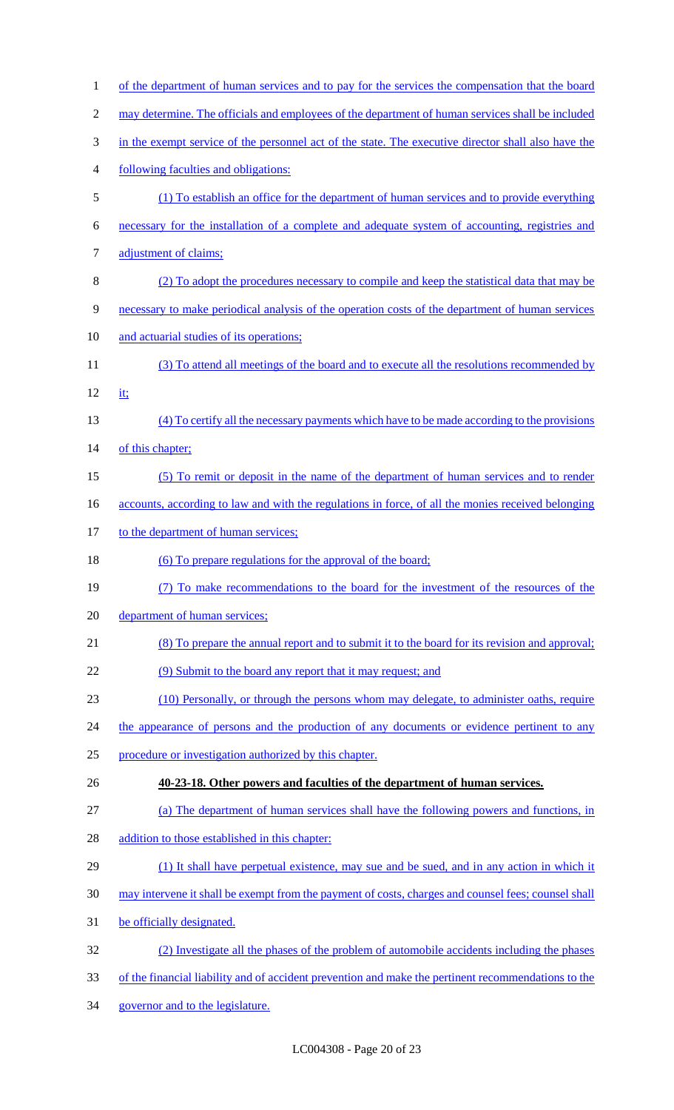| $\mathbf{1}$   | of the department of human services and to pay for the services the compensation that the board     |
|----------------|-----------------------------------------------------------------------------------------------------|
| $\overline{c}$ | may determine. The officials and employees of the department of human services shall be included    |
| 3              | in the exempt service of the personnel act of the state. The executive director shall also have the |
| 4              | following faculties and obligations:                                                                |
| 5              | (1) To establish an office for the department of human services and to provide everything           |
| 6              | necessary for the installation of a complete and adequate system of accounting, registries and      |
| 7              | adjustment of claims;                                                                               |
| 8              | (2) To adopt the procedures necessary to compile and keep the statistical data that may be          |
| 9              | necessary to make periodical analysis of the operation costs of the department of human services    |
| 10             | and actuarial studies of its operations;                                                            |
| 11             | (3) To attend all meetings of the board and to execute all the resolutions recommended by           |
| 12             | it;                                                                                                 |
| 13             | (4) To certify all the necessary payments which have to be made according to the provisions         |
| 14             | of this chapter;                                                                                    |
| 15             | (5) To remit or deposit in the name of the department of human services and to render               |
| 16             | accounts, according to law and with the regulations in force, of all the monies received belonging  |
| 17             | to the department of human services;                                                                |
| 18             | (6) To prepare regulations for the approval of the board;                                           |
| 19             | (7) To make recommendations to the board for the investment of the resources of the                 |
| 20             | department of human services;                                                                       |
| 21             | (8) To prepare the annual report and to submit it to the board for its revision and approval;       |
| 22             | (9) Submit to the board any report that it may request; and                                         |
| 23             | (10) Personally, or through the persons whom may delegate, to administer oaths, require             |
| 24             | the appearance of persons and the production of any documents or evidence pertinent to any          |
| 25             | procedure or investigation authorized by this chapter.                                              |
| 26             | 40-23-18. Other powers and faculties of the department of human services.                           |
| 27             | (a) The department of human services shall have the following powers and functions, in              |
| 28             | addition to those established in this chapter:                                                      |
| 29             | (1) It shall have perpetual existence, may sue and be sued, and in any action in which it           |
| 30             | may intervene it shall be exempt from the payment of costs, charges and counsel fees; counsel shall |
| 31             | be officially designated.                                                                           |
| 32             | (2) Investigate all the phases of the problem of automobile accidents including the phases          |
| 33             | of the financial liability and of accident prevention and make the pertinent recommendations to the |
| 34             | governor and to the legislature.                                                                    |
|                |                                                                                                     |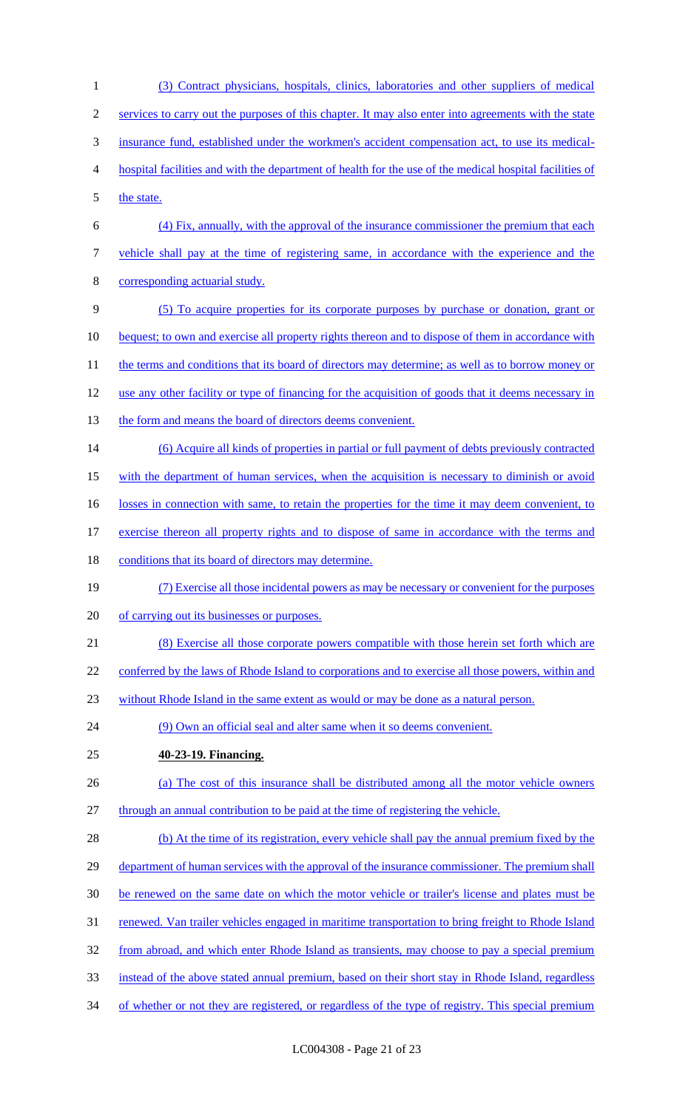(3) Contract physicians, hospitals, clinics, laboratories and other suppliers of medical services to carry out the purposes of this chapter. It may also enter into agreements with the state insurance fund, established under the workmen's accident compensation act, to use its medical- hospital facilities and with the department of health for the use of the medical hospital facilities of 5 the state. (4) Fix, annually, with the approval of the insurance commissioner the premium that each vehicle shall pay at the time of registering same, in accordance with the experience and the corresponding actuarial study. (5) To acquire properties for its corporate purposes by purchase or donation, grant or 10 bequest; to own and exercise all property rights thereon and to dispose of them in accordance with 11 the terms and conditions that its board of directors may determine; as well as to borrow money or use any other facility or type of financing for the acquisition of goods that it deems necessary in 13 the form and means the board of directors deems convenient. (6) Acquire all kinds of properties in partial or full payment of debts previously contracted with the department of human services, when the acquisition is necessary to diminish or avoid 16 losses in connection with same, to retain the properties for the time it may deem convenient, to exercise thereon all property rights and to dispose of same in accordance with the terms and 18 conditions that its board of directors may determine. (7) Exercise all those incidental powers as may be necessary or convenient for the purposes of carrying out its businesses or purposes. (8) Exercise all those corporate powers compatible with those herein set forth which are 22 conferred by the laws of Rhode Island to corporations and to exercise all those powers, within and without Rhode Island in the same extent as would or may be done as a natural person. (9) Own an official seal and alter same when it so deems convenient. **40-23-19. Financing.**  (a) The cost of this insurance shall be distributed among all the motor vehicle owners through an annual contribution to be paid at the time of registering the vehicle. 28 (b) At the time of its registration, every vehicle shall pay the annual premium fixed by the 29 department of human services with the approval of the insurance commissioner. The premium shall be renewed on the same date on which the motor vehicle or trailer's license and plates must be renewed. Van trailer vehicles engaged in maritime transportation to bring freight to Rhode Island 32 from abroad, and which enter Rhode Island as transients, may choose to pay a special premium instead of the above stated annual premium, based on their short stay in Rhode Island, regardless 34 of whether or not they are registered, or regardless of the type of registry. This special premium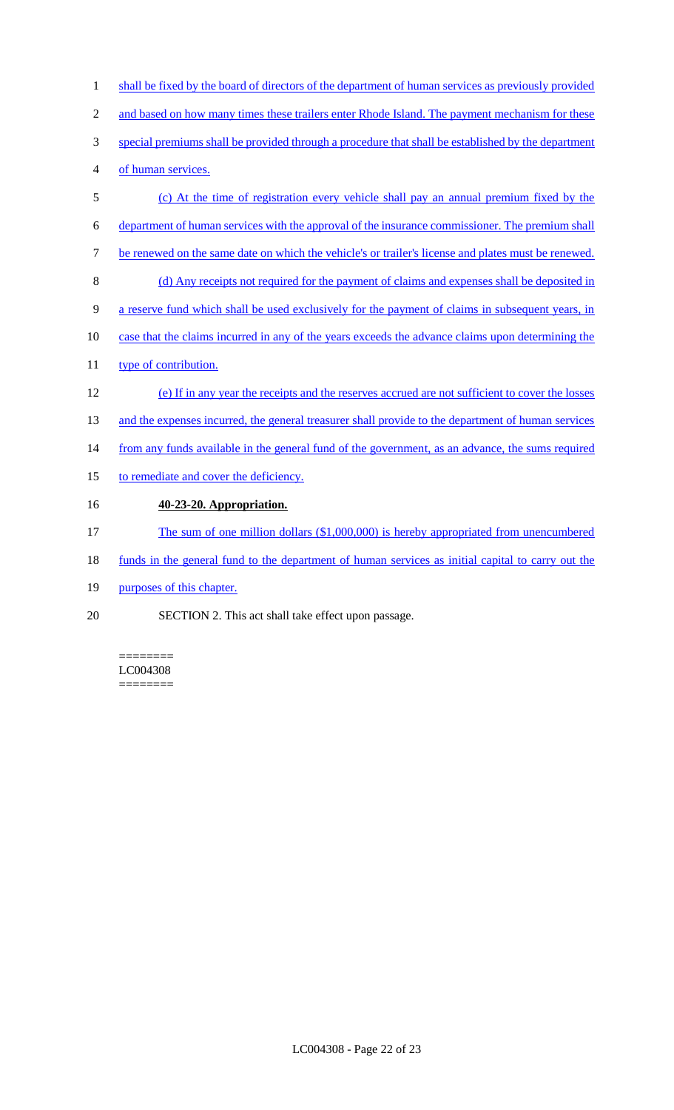| $\mathbf{1}$   | shall be fixed by the board of directors of the department of human services as previously provided |
|----------------|-----------------------------------------------------------------------------------------------------|
| $\overline{2}$ | and based on how many times these trailers enter Rhode Island. The payment mechanism for these      |
| 3              | special premiums shall be provided through a procedure that shall be established by the department  |
| 4              | of human services.                                                                                  |
| 5              | (c) At the time of registration every vehicle shall pay an annual premium fixed by the              |
| 6              | department of human services with the approval of the insurance commissioner. The premium shall     |
| 7              | be renewed on the same date on which the vehicle's or trailer's license and plates must be renewed. |
| $8\,$          | (d) Any receipts not required for the payment of claims and expenses shall be deposited in          |
| 9              | a reserve fund which shall be used exclusively for the payment of claims in subsequent years, in    |
| 10             | case that the claims incurred in any of the years exceeds the advance claims upon determining the   |
| 11             | type of contribution.                                                                               |
| 12             | (e) If in any year the receipts and the reserves accrued are not sufficient to cover the losses     |
| 13             | and the expenses incurred, the general treasurer shall provide to the department of human services  |
| 14             | from any funds available in the general fund of the government, as an advance, the sums required    |
| 15             | to remediate and cover the deficiency.                                                              |
| 16             | 40-23-20. Appropriation.                                                                            |
| 17             | The sum of one million dollars (\$1,000,000) is hereby appropriated from unencumbered               |
| 18             | funds in the general fund to the department of human services as initial capital to carry out the   |
| 19             | purposes of this chapter.                                                                           |

20 SECTION 2. This act shall take effect upon passage.

LC004308 ========

========